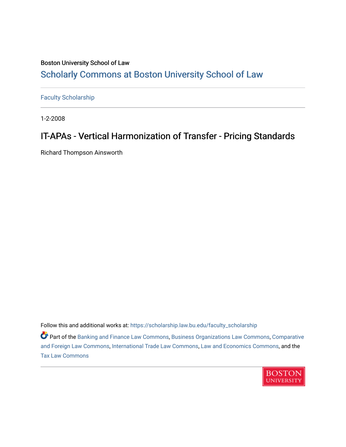## Boston University School of Law [Scholarly Commons at Boston University School of Law](https://scholarship.law.bu.edu/)

[Faculty Scholarship](https://scholarship.law.bu.edu/faculty_scholarship)

1-2-2008

# IT-APAs - Vertical Harmonization of Transfer - Pricing Standards

Richard Thompson Ainsworth

Follow this and additional works at: [https://scholarship.law.bu.edu/faculty\\_scholarship](https://scholarship.law.bu.edu/faculty_scholarship?utm_source=scholarship.law.bu.edu%2Ffaculty_scholarship%2F1492&utm_medium=PDF&utm_campaign=PDFCoverPages)

Part of the [Banking and Finance Law Commons,](http://network.bepress.com/hgg/discipline/833?utm_source=scholarship.law.bu.edu%2Ffaculty_scholarship%2F1492&utm_medium=PDF&utm_campaign=PDFCoverPages) [Business Organizations Law Commons](http://network.bepress.com/hgg/discipline/900?utm_source=scholarship.law.bu.edu%2Ffaculty_scholarship%2F1492&utm_medium=PDF&utm_campaign=PDFCoverPages), [Comparative](http://network.bepress.com/hgg/discipline/836?utm_source=scholarship.law.bu.edu%2Ffaculty_scholarship%2F1492&utm_medium=PDF&utm_campaign=PDFCoverPages) [and Foreign Law Commons,](http://network.bepress.com/hgg/discipline/836?utm_source=scholarship.law.bu.edu%2Ffaculty_scholarship%2F1492&utm_medium=PDF&utm_campaign=PDFCoverPages) [International Trade Law Commons](http://network.bepress.com/hgg/discipline/848?utm_source=scholarship.law.bu.edu%2Ffaculty_scholarship%2F1492&utm_medium=PDF&utm_campaign=PDFCoverPages), [Law and Economics Commons](http://network.bepress.com/hgg/discipline/612?utm_source=scholarship.law.bu.edu%2Ffaculty_scholarship%2F1492&utm_medium=PDF&utm_campaign=PDFCoverPages), and the [Tax Law Commons](http://network.bepress.com/hgg/discipline/898?utm_source=scholarship.law.bu.edu%2Ffaculty_scholarship%2F1492&utm_medium=PDF&utm_campaign=PDFCoverPages)

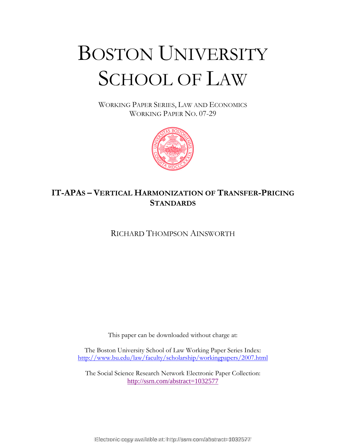# BOSTON UNIVERSITY SCHOOL OF LAW

WORKING PAPER SERIES, LAW AND ECONOMICS WORKING PAPER NO. 07-29



## **IT-APAS – VERTICAL HARMONIZATION OF TRANSFER-PRICING STANDARDS**

RICHARD THOMPSON AINSWORTH

This paper can be downloaded without charge at:

The Boston University School of Law Working Paper Series Index: http://www.bu.edu/law/faculty/scholarship/workingpapers/2007.html

The Social Science Research Network Electronic Paper Collection: http://ssrn.com/abstract=1032577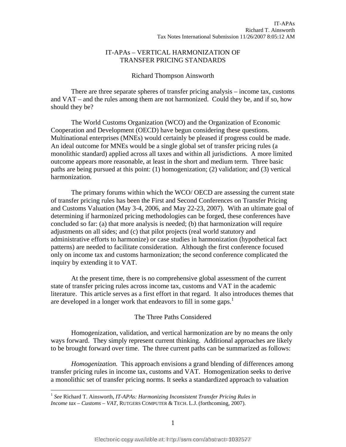#### IT-APAs – VERTICAL HARMONIZATION OF TRANSFER PRICING STANDARDS

#### Richard Thompson Ainsworth

 There are three separate spheres of transfer pricing analysis – income tax, customs and VAT – and the rules among them are not harmonized. Could they be, and if so, how should they be?

The World Customs Organization (WCO) and the Organization of Economic Cooperation and Development (OECD) have begun considering these questions. Multinational enterprises (MNEs) would certainly be pleased if progress could be made. An ideal outcome for MNEs would be a single global set of transfer pricing rules (a monolithic standard) applied across all taxes and within all jurisdictions. A more limited outcome appears more reasonable, at least in the short and medium term. Three basic paths are being pursued at this point: (1) homogenization; (2) validation; and (3) vertical harmonization.

 The primary forums within which the WCO/ OECD are assessing the current state of transfer pricing rules has been the First and Second Conferences on Transfer Pricing and Customs Valuation (May 3-4, 2006, and May 22-23, 2007). With an ultimate goal of determining if harmonized pricing methodologies can be forged, these conferences have concluded so far: (a) that more analysis is needed; (b) that harmonization will require adjustments on all sides; and (c) that pilot projects (real world statutory and administrative efforts to harmonize) or case studies in harmonization (hypothetical fact patterns) are needed to facilitate consideration. Although the first conference focused only on income tax and customs harmonization; the second conference complicated the inquiry by extending it to VAT.

At the present time, there is no comprehensive global assessment of the current state of transfer pricing rules across income tax, customs and VAT in the academic literature. This article serves as a first effort in that regard. It also introduces themes that are developed in a longer work that endeavors to fill in some gaps.<sup>1</sup>

#### The Three Paths Considered

Homogenization, validation, and vertical harmonization are by no means the only ways forward. They simply represent current thinking. Additional approaches are likely to be brought forward over time. The three current paths can be summarized as follows:

*Homogenization.* This approach envisions a grand blending of differences among transfer pricing rules in income tax, customs and VAT. Homogenization seeks to derive a monolithic set of transfer pricing norms. It seeks a standardized approach to valuation

<sup>1</sup> *See* Richard T. Ainsworth, *IT-APAs: Harmonizing Inconsistent Transfer Pricing Rules in Income tax – Customs – VAT*, RUTGERS COMPUTER & TECH. L.J. (forthcoming, 2007).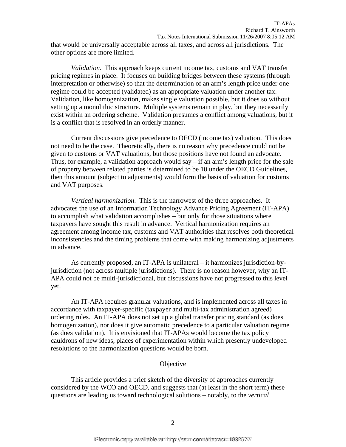that would be universally acceptable across all taxes, and across all jurisdictions. The other options are more limited.

*Validation*. This approach keeps current income tax, customs and VAT transfer pricing regimes in place. It focuses on building bridges between these systems (through interpretation or otherwise) so that the determination of an arm's length price under one regime could be accepted (validated) as an appropriate valuation under another tax. Validation, like homogenization, makes single valuation possible, but it does so without setting up a monolithic structure. Multiple systems remain in play, but they necessarily exist within an ordering scheme. Validation presumes a conflict among valuations, but it is a conflict that is resolved in an orderly manner.

Current discussions give precedence to OECD (income tax) valuation. This does not need to be the case. Theoretically, there is no reason why precedence could not be given to customs or VAT valuations, but those positions have not found an advocate. Thus, for example, a validation approach would say – if an arm's length price for the sale of property between related parties is determined to be 10 under the OECD Guidelines, then this amount (subject to adjustments) would form the basis of valuation for customs and VAT purposes.

*Vertical harmonization*. This is the narrowest of the three approaches. It advocates the use of an Information Technology Advance Pricing Agreement (IT-APA) to accomplish what validation accomplishes – but only for those situations where taxpayers have sought this result in advance. Vertical harmonization requires an agreement among income tax, customs and VAT authorities that resolves both theoretical inconsistencies and the timing problems that come with making harmonizing adjustments in advance.

As currently proposed, an IT-APA is unilateral – it harmonizes jurisdiction-byjurisdiction (not across multiple jurisdictions). There is no reason however, why an IT-APA could not be multi-jurisdictional, but discussions have not progressed to this level yet.

An IT-APA requires granular valuations, and is implemented across all taxes in accordance with taxpayer-specific (taxpayer and multi-tax administration agreed) ordering rules. An IT-APA does not set up a global transfer pricing standard (as does homogenization), nor does it give automatic precedence to a particular valuation regime (as does validation). It is envisioned that IT-APAs would become the tax policy cauldrons of new ideas, places of experimentation within which presently undeveloped resolutions to the harmonization questions would be born.

#### **Objective**

This article provides a brief sketch of the diversity of approaches currently considered by the WCO and OECD, and suggests that (at least in the short term) these questions are leading us toward technological solutions – notably, to the *vertical*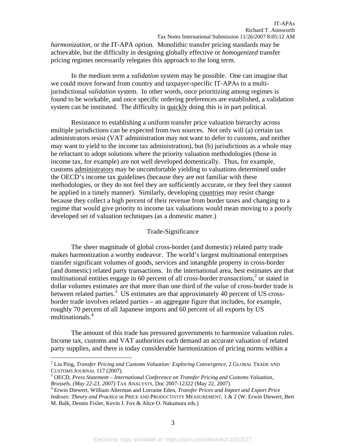*harmonization,* or the IT-APA option. Monolithic transfer pricing standards may be achievable, but the difficulty in designing globally effective or *homogenized* transfer pricing regimes necessarily relegates this approach to the long term.

In the medium term a *validation* system may be possible. One can imagine that we could move forward from country and taxpayer-specific IT-APAs to a multijurisdictional *validation* system. In other words, once prioritizing among regimes is found to be workable, and once specific ordering preferences are established, a validation system can be instituted. The difficulty in quickly doing this is in part political.

Resistance to establishing a uniform transfer price valuation hierarchy across multiple jurisdictions can be expected from two sources. Not only will (a) certain tax administrators resist (VAT administration may not want to defer to customs, and neither may want to yield to the income tax administration), but (b) jurisdictions as a whole may be reluctant to adopt solutions where the priority valuation methodologies (those in income tax, for example) are not well developed domestically. Thus, for example, customs administrators may be uncomfortable yielding to valuations determined under the OECD's income tax guidelines (because they are not familiar with these methodologies, or they do not feel they are sufficiently accurate, or they feel they cannot be applied in a timely manner). Similarly, developing countries may resist change because they collect a high percent of their revenue from border taxes and changing to a regime that would give priority to income tax valuations would mean moving to a poorly developed set of valuation techniques (as a domestic matter.)

#### Trade-Significance

The sheer magnitude of global cross-border (and domestic) related party trade makes harmonization a worthy endeavor. The world's largest multinational enterprises transfer significant volumes of goods, services and intangible property in cross-border (and domestic) related party transactions. In the international area, best estimates are that multinational entities engage in 60 percent of all cross-border *transactions*,<sup>2</sup> or stated in dollar volumes estimates are that more than one third of the *value* of cross-border trade is between related parties.<sup>3</sup> US estimates are that approximately 40 percent of US crossborder trade involves related parties – an aggregate figure that includes, for example, roughly 70 percent of all Japanese imports and 60 percent of all exports by US multinationals.4

The amount of this trade has pressured governments to harmonize valuation rules. Income tax, customs and VAT authorities each demand an accurate valuation of related party supplies, and there is today considerable harmonization of pricing norms within a

<sup>2</sup> Liu Ping, *Transfer Pricing and Customs Valuation: Exploring Convergence*, 2 GLOBAL TRADE AND CUSTOMS JOURNAL 117 (2007).

OECD, *Press Statement – International Conference on Transfer Pricing and Customs Valuation, Brussels, (May 22-23, 2007)* TAX ANALYSTS, Doc 2007-12322 (May 22, 2007). 4

Erwin Diewert, William Alterman and Lorraine Eden, *Transfer Prices and Import and Export Price Indexes: Theory and Practice* in PRICE AND PRODUCTIVITY MEASUREMENT, 1 & 2 (W. Erwin Diewert, Bert M. Balk, Dennis Fixler, Kevin J. Fox & Alice O. Nakamura eds.)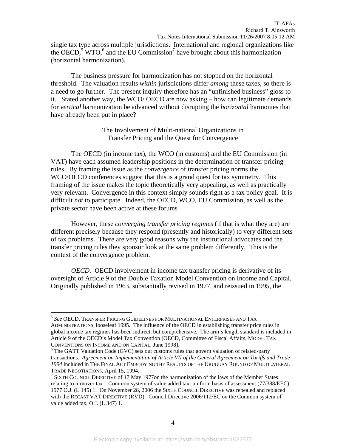single tax type across multiple jurisdictions. International and regional organizations like the OECD,<sup>5</sup> WTO,<sup>6</sup> and the EU Commission<sup>7</sup> have brought about this harmonization (horizontal harmonization).

The business pressure for harmonization has not stopped on the horizontal threshold. The valuation results *within* jurisdictions differ *among* these taxes, so there is a need to go further. The present inquiry therefore has an "unfinished business" gloss to it. Stated another way, the WCO/ OECD are now asking – how can legitimate demands for *vertical* harmonization be advanced without disrupting the *horizontal* harmonies that have already been put in place?

> The Involvement of Multi-national Organizations in Transfer Pricing and the Quest for Convergence

 The OECD (in income tax), the WCO (in customs) and the EU Commission (in VAT) have each assumed leadership positions in the determination of transfer pricing rules. By framing the issue as the *convergence* of transfer pricing norms the WCO/OECD conferences suggest that this is a grand quest for tax symmetry. This framing of the issue makes the topic theoretically very appealing, as well as practically very relevant. Convergence in this context simply sounds right as a tax policy goal. It is difficult *not* to participate. Indeed, the OECD, WCO, EU Commission, as well as the private sector have been active at these forums

However, these *converging transfer pricing regimes* (if that is what they are) are different precisely because they respond (presently and historically) to very different sets of tax problems. There are very good reasons why the institutional advocates and the transfer pricing rules they sponsor look at the same problem differently. This is the context of the convergence problem.

*OECD.* OECD involvement in income tax transfer pricing is derivative of its oversight of Article 9 of the Double Taxation Model Convention on Income and Capital. Originally published in 1963, substantially revised in 1977, and reissued in 1995, the

<sup>5</sup> *See* OECD, TRANSFER PRICING GUIDELINES FOR MULTINATIONAL ENTERPRISES AND TAX ADMINISTRATIONS, looseleaf 1995. The influence of the OECD in establishing transfer price rules in global income tax regimes has been indirect, but comprehensive. The arm's length standard is included in Article 9 of the OECD's Model Tax Convention [OECD, Committee of Fiscal Affairs, MODEL TAX CONVENTIONS ON INCOME AND ON CAPITAL*,* June 1998]. 6

<sup>&</sup>lt;sup>6</sup> The GATT Valuation Code (GVC) sets out customs rules that govern valuation of related-party transactions. *Agreement on Implementation of Article VII of the General Agreement on Tariffs and Trade 1994* included in THE FINAL ACT EMBODYING THE RESULTS OF THE URUGUAY ROUND OF MULTILATERAL TRADE NEGOTIATIONS, April 15, 1994. 7

<sup>&</sup>lt;sup>7</sup> SIXTH COUNCIL DIRECTIVE of 17 May 1977 on the harmonization of the laws of the Member States relating to turnover tax – Common system of value added tax: uniform basis of assessment (77/388/EEC) 1977 O.J. (L 145) 1. On November 28, 2006 the SIXTH COUNCIL DIRECTIVE was repealed and replaced with the RECAST VAT DIRECTIVE (RVD). Council Directive 2006/112/EC on the Common system of value added tax, O.J. (L 347) 1.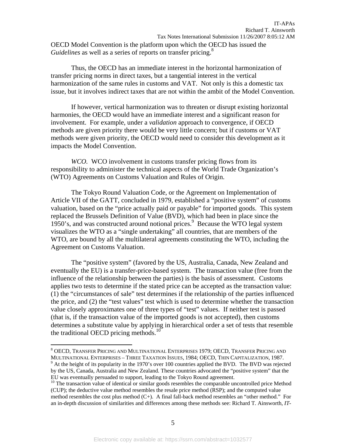OECD Model Convention is the platform upon which the OECD has issued the *Guidelines* as well as a series of reports on transfer pricing.<sup>8</sup>

Thus, the OECD has an immediate interest in the horizontal harmonization of transfer pricing norms in direct taxes, but a tangential interest in the vertical harmonization of the same rules in customs and VAT. Not only is this a domestic tax issue, but it involves indirect taxes that are not within the ambit of the Model Convention.

If however, vertical harmonization was to threaten or disrupt existing horizontal harmonies, the OECD would have an immediate interest and a significant reason for involvement. For example, under a *validation* approach to convergence, if OECD methods are given priority there would be very little concern; but if customs or VAT methods were given priority, the OECD would need to consider this development as it impacts the Model Convention.

*WCO.* WCO involvement in customs transfer pricing flows from its responsibility to administer the technical aspects of the World Trade Organization's (WTO) Agreements on Customs Valuation and Rules of Origin.

The Tokyo Round Valuation Code, or the Agreement on Implementation of Article VII of the GATT, concluded in 1979, established a "positive system" of customs valuation, based on the "price actually paid or payable" for imported goods. This system replaced the Brussels Definition of Value (BVD), which had been in place since the 1950's, and was constructed around notional prices.<sup>9</sup> Because the WTO legal system visualizes the WTO as a "single undertaking" all countries, that are members of the WTO, are bound by all the multilateral agreements constituting the WTO, including the Agreement on Customs Valuation.

The "positive system" (favored by the US, Australia, Canada, New Zealand and eventually the EU) is a transfer-price-based system. The transaction value (free from the influence of the relationship between the parties) is the basis of assessment. Customs applies two tests to determine if the stated price can be accepted as the transaction value: (1) the "circumstances of sale" test determines if the relationship of the parties influenced the price, and (2) the "test values" test which is used to determine whether the transaction value closely approximates one of three types of "test" values. If neither test is passed (that is, if the transaction value of the imported goods is not accepted), then customs determines a substitute value by applying in hierarchical order a set of tests that resemble the traditional OECD pricing methods.<sup>10</sup>

 $^8$  OECD, Transfer Pricing and Multinational Enterprises 1979; OECD, Transfer Pricing and MULTINATIONAL ENTERPRISES – THREE TAXATION ISSUES, 1984; OECD, THIN CAPITALIZATION, 1987. 9

 $\degree$  At the height of its popularity in the 1970's over 100 countries applied the BVD. The BVD was rejected by the US, Canada, Australia and New Zealand. These countries advocated the "positive system" that the EU was eventually persuaded to support, leading to the Tokyo Round agreement.

<sup>&</sup>lt;sup>10</sup> The transaction value of identical or similar goods resembles the comparable uncontrolled price Method (CUP); the deductive value method resembles the resale price method (RSP); and the computed value method resembles the cost plus method (C+). A final fall-back method resembles an "other method." For an in-depth discussion of similarities and differences among these methods see: Richard T. Ainsworth, *IT-*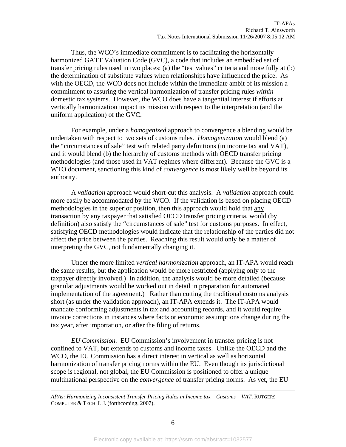Thus, the WCO's immediate commitment is to facilitating the horizontally harmonized GATT Valuation Code (GVC), a code that includes an embedded set of transfer pricing rules used in two places: (a) the "test values" criteria and more fully at (b) the determination of substitute values when relationships have influenced the price. As with the OECD, the WCO does not include within the immediate ambit of its mission a commitment to assuring the vertical harmonization of transfer pricing rules *within* domestic tax systems. However, the WCO does have a tangential interest if efforts at vertically harmonization impact its mission with respect to the interpretation (and the uniform application) of the GVC.

For example, under a *homogenized* approach to convergence a blending would be undertaken with respect to two sets of customs rules. *Homogenization* would blend (a) the "circumstances of sale" test with related party definitions (in income tax and VAT), and it would blend (b) the hierarchy of customs methods with OECD transfer pricing methodologies (and those used in VAT regimes where different). Because the GVC is a WTO document, sanctioning this kind of *convergence* is most likely well be beyond its authority.

A *validation* approach would short-cut this analysis. A *validation* approach could more easily be accommodated by the WCO. If the validation is based on placing OECD methodologies in the superior position, then this approach would hold that any transaction by any taxpayer that satisfied OECD transfer pricing criteria, would (by definition) also satisfy the "circumstances of sale" test for customs purposes. In effect, satisfying OECD methodologies would indicate that the relationship of the parties did not affect the price between the parties. Reaching this result would only be a matter of interpreting the GVC, not fundamentally changing it.

Under the more limited *vertical harmonization* approach, an IT-APA would reach the same results, but the application would be more restricted (applying only to the taxpayer directly involved.) In addition, the analysis would be more detailed (because granular adjustments would be worked out in detail in preparation for automated implementation of the agreement.) Rather than cutting the traditional customs analysis short (as under the validation approach), an IT-APA extends it. The IT-APA would mandate conforming adjustments in tax and accounting records, and it would require invoice corrections in instances where facts or economic assumptions change during the tax year, after importation, or after the filing of returns.

*EU Commission.* EU Commission's involvement in transfer pricing is not confined to VAT, but extends to customs and income taxes. Unlike the OECD and the WCO, the EU Commission has a direct interest in vertical as well as horizontal harmonization of transfer pricing norms within the EU. Even though its jurisdictional scope is regional, not global, the EU Commission is positioned to offer a unique multinational perspective on the *convergence* of transfer pricing norms. As yet, the EU

*APAs: Harmonizing Inconsistent Transfer Pricing Rules in Income tax – Customs – VAT*, RUTGERS COMPUTER & TECH. L.J. (forthcoming, 2007).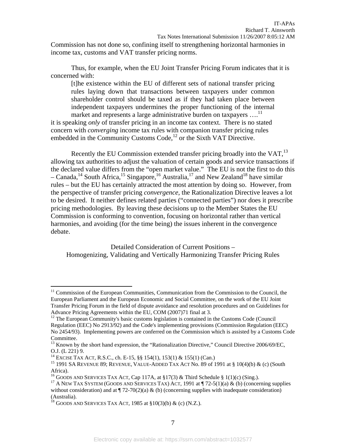Commission has not done so, confining itself to strengthening horizontal harmonies in income tax, customs and VAT transfer pricing norms.

Thus, for example, when the EU Joint Transfer Pricing Forum indicates that it is concerned with:

[t]he existence within the EU of different sets of national transfer pricing rules laying down that transactions between taxpayers under common shareholder control should be taxed as if they had taken place between independent taxpayers undermines the proper functioning of the internal market and represents a large administrative burden on taxpayers ....<sup>11</sup>

it is speaking *only* of transfer pricing in an income tax context. There is no stated concern with *converging* income tax rules with companion transfer pricing rules embedded in the Community Customs Code, $^{12}$  or the Sixth VAT Directive.

Recently the EU Commission extended transfer pricing broadly into the VAT,  $^{13}$ allowing tax authorities to adjust the valuation of certain goods and service transactions if the declared value differs from the "open market value." The EU is not the first to do this – Canada,<sup>14</sup> South Africa,<sup>15</sup> Singapore,<sup>16</sup> Australia,<sup>17</sup> and New Zealand<sup>18</sup> have similar rules – but the EU has certainly attracted the most attention by doing so. However, from the perspective of transfer pricing *convergence*, the Rationalization Directive leaves a lot to be desired. It neither defines related parties ("connected parties") nor does it prescribe pricing methodologies. By leaving these decisions up to the Member States the EU Commission is conforming to convention, focusing on horizontal rather than vertical harmonies, and avoiding (for the time being) the issues inherent in the convergence debate.

Detailed Consideration of Current Positions – Homogenizing, Validating and Vertically Harmonizing Transfer Pricing Rules

<sup>&</sup>lt;sup>11</sup> Commission of the European Communities, Communication from the Commission to the Council, the European Parliament and the European Economic and Social Committee, on the work of the EU Joint Transfer Pricing Forum in the field of dispute avoidance and resolution procedures and on Guidelines for Advance Pricing Agreements within the EU, COM (2007)71 final at 3.

<sup>&</sup>lt;sup>12</sup> The European Community's basic customs legislation is contained in the Customs Code (Council Regulation (EEC) No 2913/92) and the Code's implementing provisions (Commission Regulation (EEC) No 2454/93). Implementing powers are conferred on the Commission which is assisted by a Customs Code Committee.

<sup>&</sup>lt;sup>13</sup> Known by the short hand expression, the "Rationalization Directive," Council Directive 2006/69/EC, O.J. (L 221) 9.<br><sup>14</sup> EXCISE TAX ACT, R.S.C., ch. E-15, §§ 154(1), 153(1) & 155(1) (Can.)

<sup>&</sup>lt;sup>15</sup> 1991 SA REVENUE 89; REVENUE, VALUE-ADDED TAX ACT No. 89 of 1991 at § 10(4)(b) & (c) (South Africa).

<sup>&</sup>lt;sup>16</sup> GOODS AND SERVICES TAX ACT, Cap 117A, at §17(3) & Third Schedule § 1(1)(c) (Sing.).<br><sup>17</sup> A NEW TAX SYSTEM (GOODS AND SERVICES TAX) ACT, 1991 at ¶ 72-5(1)(a) & (b) (concerning supplies without consideration) and at  $\P$  72-70(2)(a) & (b) (concerning supplies with inadequate consideration) (Australia).

<sup>&</sup>lt;sup>18</sup> GOODS AND SERVICES TAX ACT, 1985 at  $\S 10(3)(b)$  & (c) (N.Z.).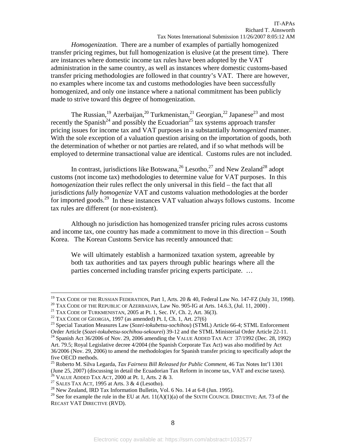*Homogenization*. There are a number of examples of partially homogenized transfer pricing regimes, but full homogenization is elusive (at the present time). There are instances where domestic income tax rules have been adopted by the VAT administration in the same country, as well as instances where domestic customs-based transfer pricing methodologies are followed in that country's VAT. There are however, no examples where income tax and customs methodologies have been successfully homogenized, and only one instance where a national commitment has been publicly made to strive toward this degree of homogenization.

The Russian,<sup>19</sup> Azerbaijan,<sup>20</sup> Turkmenistan,<sup>21</sup> Georgian,<sup>22</sup> Japanese<sup>23</sup> and most recently the Spanish<sup>24</sup> and possibly the Ecuadorian<sup>25</sup> tax systems approach transfer pricing issues for income tax and VAT purposes in a substantially *homogenized* manner. With the sole exception of a valuation question arising on the importation of goods, both the determination of whether or not parties are related, and if so what methods will be employed to determine transactional value are identical. Customs rules are not included.

In contrast, jurisdictions like Botswana,  $2^6$  Lesotho,  $2^7$  and New Zealand<sup>28</sup> adopt customs (not income tax) methodologies to determine value for VAT purposes. In this *homogenization* their rules reflect the only universal in this field – the fact that all jurisdictions *fully homogenize* VAT and customs valuation methodologies at the border for imported goods.<sup>29</sup> In these instances VAT valuation always follows customs. Income tax rules are different (or non-existent).

Although no jurisdiction has homogenized transfer pricing rules across customs and income tax, one country has made a commitment to move in this direction – South Korea. The Korean Customs Service has recently announced that:

We will ultimately establish a harmonized taxation system, agreeable by both tax authorities and tax payers through public hearings where all the parties concerned including transfer pricing experts participate. …

1

<sup>&</sup>lt;sup>19</sup> TAX CODE OF THE RUSSIAN FEDERATION, Part 1, Arts. 20 & 40, Federal Law No. 147-FZ (July 31, 1998).<br><sup>20</sup> TAX CODE OF THE REPUBLIC OF AZERBAIJAN, Law No. 905-IG at Arts. 14.6.3, (Jul. 11, 2000).<br><sup>21</sup> TAX CODE OF TURKME

<sup>&</sup>lt;sup>24</sup> Spanish Act 36/2006 of Nov. 29, 2006 amending the VALUE ADDED TAX ACT 37/1992 (Dec. 28, 1992) Art. 79.5; Royal Legislative decree 4/2004 (the Spanish Corporate Tax Act) was also modified by Act 36/2006 (Nov. 29, 2006) to amend the methodologies for Spanish transfer pricing to specifically adopt the five OECD methods.

<sup>25</sup> Roberto M. Silva Legarda, *Tax Fairness Bill Released for Public Comment*, 46 Tax Notes Int'l 1301 (June 25, 2007) (discussing in detail the Ecuadorian Tax Reform in income tax, VAT and excise taxes). <sup>26</sup> VALUE ADDED TAX ACT, 2000 at Pt. 1, Arts. 2 & 3.

<sup>&</sup>lt;sup>27</sup> SALES TAX ACT, 1995 at Arts. 3 & 4 (Lesotho). <sup>28</sup> New Zealand, IRD Tax Information Bulletin, Vol. 6 No. 14 at 6-8 (Jun. 1995).

<sup>&</sup>lt;sup>29</sup> See for example the rule in the EU at Art.  $11(A)(1)(a)$  of the SIXTH COUNCIL DIRECTIVE; Art. 73 of the RECAST VAT DIRECTIVE (RVD).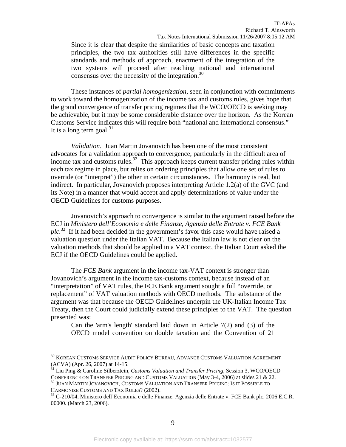Since it is clear that despite the similarities of basic concepts and taxation principles, the two tax authorities still have differences in the specific standards and methods of approach, enactment of the integration of the two systems will proceed after reaching national and international consensus over the necessity of the integration.<sup>30</sup>

 These instances of *partial homogenization*, seen in conjunction with commitments to work toward the homogenization of the income tax and customs rules, gives hope that the grand convergence of transfer pricing regimes that the WCO/OECD is seeking may be achievable, but it may be some considerable distance over the horizon. As the Korean Customs Service indicates this will require both "national and international consensus." It is a long term goal.<sup>31</sup>

*Validation*. Juan Martin Jovanovich has been one of the most consistent advocates for a validation approach to convergence, particularly in the difficult area of income tax and customs rules.<sup>32</sup> This approach keeps current transfer pricing rules within each tax regime in place, but relies on ordering principles that allow one set of rules to override (or "interpret") the other in certain circumstances. The harmony is real, but indirect. In particular, Jovanovich proposes interpreting Article 1.2(a) of the GVC (and its Note) in a manner that would accept and apply determinations of value under the OECD Guidelines for customs purposes.

Jovanovich's approach to convergence is similar to the argument raised before the ECJ in *Ministero dell'Economia e delle Finanze, Agenzia delle Entrate v. FCE Bank plc.*33 If it had been decided in the government's favor this case would have raised a valuation question under the Italian VAT. Because the Italian law is not clear on the valuation methods that should be applied in a VAT context, the Italian Court asked the ECJ if the OECD Guidelines could be applied.

The *FCE Bank* argument in the income tax-VAT context is stronger than Jovanovich's argument in the income tax-customs context, because instead of an "interpretation" of VAT rules, the FCE Bank argument sought a full "override, or replacement" of VAT valuation methods with OECD methods. The substance of the argument was that because the OECD Guidelines underpin the UK-Italian Income Tax Treaty, then the Court could judicially extend these principles to the VAT. The question presented was:

Can the 'arm's length' standard laid down in Article 7(2) and (3) of the OECD model convention on double taxation and the Convention of 21

 $^{30}$  KOREAN CUSTOMS SERVICE AUDIT POLICY BUREAU, ADVANCE CUSTOMS VALUATION AGREEMENT (ACVA) (Apr. 26, 2007) at 14-15.

<sup>31</sup> Liu Ping & Caroline Silberztein, *Customs Valuation and Transfer Pricing*, Session 3, WCO/OECD

CONFERENCE ON TRANSFER PRICING AND CUSTOMS VALUATION (May 3-4, 2006) at slides 21 & 22.<br><sup>32</sup> JUAN MARTIN JOVANOVICH, CUSTOMS VALUATION AND TRANSFER PRICING: IS IT POSSIBLE TO

HARMONIZE CUSTOMS AND TAX RULES? (2002).<br><sup>33</sup> C-210/04, Ministero dell'Economia e delle Finanze, Agenzia delle Entrate v. FCE Bank plc. 2006 E.C.R. 00000. (March 23, 2006).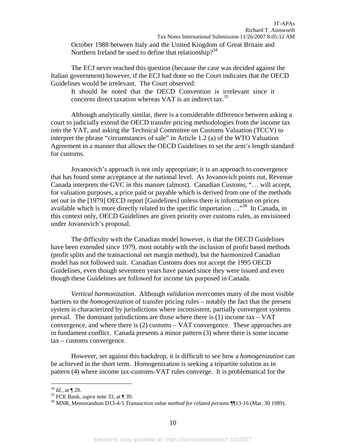October 1988 between Italy and the United Kingdom of Great Britain and Northern Ireland be used to define that relationship?<sup>34</sup>

The ECJ never reached this question (because the case was decided against the Italian government) however, if the ECJ had done so the Court indicates that the OECD Guidelines would be irrelevant. The Court observed:

It should be noted that the OECD Convention is irrelevant since it concerns direct taxation whereas VAT is an indirect tax.<sup>35</sup>

 Although analytically similar, there is a considerable difference between asking a court to judicially extend the OECD transfer pricing methodologies from the income tax into the VAT, and asking the Technical Committee on Customs Valuation (TCCV) to interpret the phrase "circumstances of sale" in Article 1.2 (a) of the WTO Valuation Agreement in a manner that allows the OECD Guidelines to set the arm's length standard for customs.

 Jovanovich's approach is not only appropriate; it is an approach to convergence that has found some acceptance at the national level. As Jovanovich points out, Revenue Canada interprets the GVC in this manner (almost). Canadian Customs, "… will accept, for valuation purposes, a price paid or payable which is derived from one of the methods set out in the [1979] OECD report [Guidelines] unless there is information on prices available which is more directly related to the specific importation  $\ldots$ <sup>36</sup> In Canada, in this context only, OECD Guidelines are given priority over customs rules, as envisioned under Jovanovich's proposal.

The difficulty with the Canadian model however, is that the OECD Guidelines have been extended since 1979, most notably with the inclusion of profit based methods (profit splits and the transactional net margin method), but the harmonized Canadian model has not followed suit. Canadian Customs does not accept the 1995 OECD Guidelines, even though seventeen years have passed since they were issued and even though these Guidelines are followed for income tax purposed in Canada.

*Vertical harmonization*. Although *validation* overcomes many of the most visible barriers to the *homogenization* of transfer pricing rules – notably the fact that the present system is characterized by jurisdictions where inconsistent, partially convergent systems prevail. The dominant jurisdictions are those where there is  $(1)$  income tax  $-$  VAT convergence, and where there is (2) customs – VAT convergence. These approaches are in fundament conflict. Canada presents a minor pattern (3) where there is some income tax – customs convergence.

However, set against this backdrop, it is difficult to see how a *homogenization* can be achieved in the short term. Homogenization is seeking a tripartite solution as in pattern (4) where income tax-customs-VAT rules converge. It is problematical for the

<sup>34</sup> *Id*., at ¶ 20. 35 FCE Bank, *supra* note 33, at ¶ 39. 36 MNR, Memorandum D13-4-5 *Transaction value method for related persons* ¶¶13-16 (Mar. 30 1989).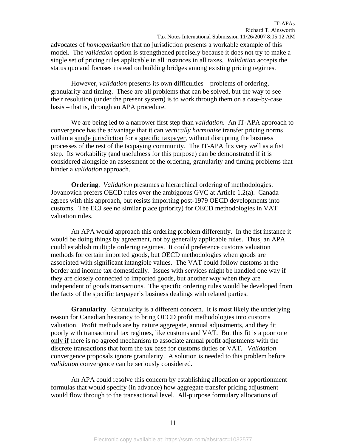advocates of *homogenization* that no jurisdiction presents a workable example of this model. The *validation* option is strengthened precisely because it does not try to make a single set of pricing rules applicable in all instances in all taxes. *Validation* accepts the status quo and focuses instead on building bridges among existing pricing regimes.

However, *validation* presents its own difficulties – problems of ordering, granularity and timing. These are all problems that can be solved, but the way to see their resolution (under the present system) is to work through them on a case-by-case basis – that is, through an APA procedure.

We are being led to a narrower first step than *validation*. An IT-APA approach to convergence has the advantage that it can *vertically harmonize* transfer pricing norms within a single jurisdiction for a specific taxpayer, without disrupting the business processes of the rest of the taxpaying community. The IT-APA fits very well as a fist step. Its workability (and usefulness for this purpose) can be demonstrated if it is considered alongside an assessment of the ordering, granularity and timing problems that hinder a *validation* approach.

**Ordering**. *Validation* presumes a hierarchical ordering of methodologies. Jovanovich prefers OECD rules over the ambiguous GVC at Article 1.2(a). Canada agrees with this approach, but resists importing post-1979 OECD developments into customs. The ECJ see no similar place (priority) for OECD methodologies in VAT valuation rules.

An APA would approach this ordering problem differently. In the fist instance it would be doing things by agreement, not by generally applicable rules. Thus, an APA could establish multiple ordering regimes. It could preference customs valuation methods for certain imported goods, but OECD methodologies when goods are associated with significant intangible values. The VAT could follow customs at the border and income tax domestically. Issues with services might be handled one way if they are closely connected to imported goods, but another way when they are independent of goods transactions. The specific ordering rules would be developed from the facts of the specific taxpayer's business dealings with related parties.

**Granularity**. Granularity is a different concern. It is most likely the underlying reason for Canadian hesitancy to bring OECD profit methodologies into customs valuation. Profit methods are by nature aggregate, annual adjustments, and they fit poorly with transactional tax regimes, like customs and VAT. But this fit is a poor one only if there is no agreed mechanism to associate annual profit adjustments with the discrete transactions that form the tax base for customs duties or VAT. *Validation* convergence proposals ignore granularity. A solution is needed to this problem before *validation* convergence can be seriously considered.

An APA could resolve this concern by establishing allocation or apportionment formulas that would specify (in advance) how aggregate transfer pricing adjustment would flow through to the transactional level. All-purpose formulary allocations of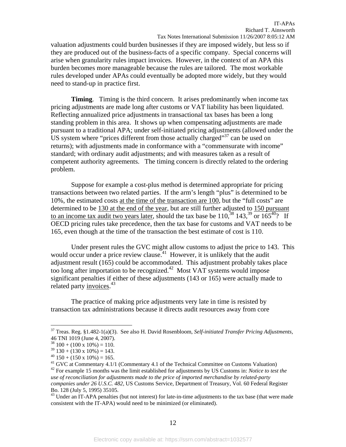valuation adjustments could burden businesses if they are imposed widely, but less so if they are produced out of the business-facts of a specific company. Special concerns will arise when granularity rules impact invoices. However, in the context of an APA this burden becomes more manageable because the rules are tailored. The most workable rules developed under APAs could eventually be adopted more widely, but they would need to stand-up in practice first.

**Timing.** Timing is the third concern. It arises predominantly when income tax pricing adjustments are made long after customs or VAT liability has been liquidated. Reflecting annualized price adjustments in transactional tax bases has been a long standing problem in this area. It shows up when compensating adjustments are made pursuant to a traditional APA; under self-initiated pricing adjustments (allowed under the US system where "prices different from those actually charged"<sup>37</sup> can be used on returns); with adjustments made in conformance with a "commensurate with income" standard; with ordinary audit adjustments; and with measures taken as a result of competent authority agreements. The timing concern is directly related to the ordering problem.

Suppose for example a cost-plus method is determined appropriate for pricing transactions between two related parties. If the arm's length "plus" is determined to be 10%, the estimated costs at the time of the transaction are 100, but the "full costs" are determined to be 130 at the end of the year, but are still further adjusted to 150 pursuant to an income tax audit two years later, should the tax base be  $110^{38}$ ,  $143^{39}$  or  $165^{40}$ ? If OECD pricing rules take precedence, then the tax base for customs and VAT needs to be 165, even though at the time of the transaction the best estimate of cost is 110.

Under present rules the GVC might allow customs to adjust the price to 143. This would occur under a price review clause.<sup>41</sup> However, it is unlikely that the audit adjustment result (165) could be accommodated. This adjustment probably takes place too long after importation to be recognized.<sup>42</sup> Most VAT systems would impose significant penalties if either of these adjustments (143 or 165) were actually made to related party *invoices*.<sup>43</sup>

The practice of making price adjustments very late in time is resisted by transaction tax administrations because it directs audit resources away from core

<sup>37</sup> Treas. Reg. §1.482-1(a)(3). See also H. David Rosenbloom, *Self-initiated Transfer Pricing Adjustments,* 46 TNI 1019 (June 4, 2007).

 $38\ 100 + (100 \times 10\%) = 110.$ 

 $39$  130 + (130 x 10%) = 143.

 $40$  150 + (150 x 10%) = 165.

<sup>&</sup>lt;sup>41</sup> GVC at Commentary 4.1/1 (Commentary 4.1 of the Technical Committee on Customs Valuation) 42 For example 15 months was the limit established for adjustments by US Customs in: *Notice to test the use of reconciliation for adjustments made to the price of imported merchandise by related-party companies under 26 U.S.C. 482,* US Customs Service, Department of Treasury, Vol. 60 Federal Register Bo. 128 (July 5, 1995) 35105.43 Under an IT-APA penalties (but not interest) for late-in-time adjustments to the tax base (that were made

consistent with the IT-APA) would need to be minimized (or eliminated).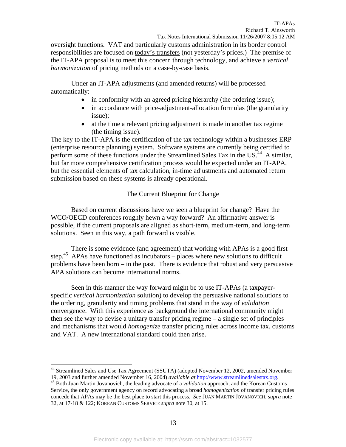oversight functions. VAT and particularly customs administration in its border control responsibilities are focused on today's transfers (not yesterday's prices.) The premise of the IT-APA proposal is to meet this concern through technology, and achieve a *vertical harmonization* of pricing methods on a case-by-case basis.

Under an IT-APA adjustments (and amended returns) will be processed automatically:

- in conformity with an agreed pricing hierarchy (the ordering issue);
- in accordance with price-adjustment-allocation formulas (the granularity issue);
- at the time a relevant pricing adjustment is made in another tax regime (the timing issue).

The key to the IT-APA is the certification of the tax technology within a businesses ERP (enterprise resource planning) system. Software systems are currently being certified to perform some of these functions under the Streamlined Sales Tax in the US.<sup>44</sup> A similar, but far more comprehensive certification process would be expected under an IT-APA, but the essential elements of tax calculation, in-time adjustments and automated return submission based on these systems is already operational.

#### The Current Blueprint for Change

 Based on current discussions have we seen a blueprint for change? Have the WCO/OECD conferences roughly hewn a way forward? An affirmative answer is possible, if the current proposals are aligned as short-term, medium-term, and long-term solutions. Seen in this way, a path forward is visible.

There is some evidence (and agreement) that working with APAs is a good first step.<sup>45</sup> APAs have functioned as incubators – places where new solutions to difficult problems have been born – in the past. There is evidence that robust and very persuasive APA solutions can become international norms.

Seen in this manner the way forward might be to use IT-APAs (a taxpayerspecific *vertical harmonization* solution) to develop the persuasive national solutions to the ordering, granularity and timing problems that stand in the way of *validation*  convergence. With this experience as background the international community might then see the way to devise a unitary transfer pricing regime – a single set of principles and mechanisms that would *homogenize* transfer pricing rules across income tax, customs and VAT. A new international standard could then arise.

1

<sup>&</sup>lt;sup>44</sup> Streamlined Sales and Use Tax Agreement (SSUTA) (adopted November 12, 2002, amended November

<sup>19, 2003</sup> and further amended November 16, 2004) *available at* http://www.streamlinedsalestax.org. 45 Both Juan Martin Jovanovich, the leading advocate of a *validation* approach, and the Korean Customs Service, the only government agency on record advocating a broad *homogenization* of transfer pricing rules concede that APAs may be the best place to start this process. *See* JUAN MARTIN JOVANOVICH, *supra* note 32, at 17-18 & 122; KOREAN CUSTOMS SERVICE *supra* note 30, at 15.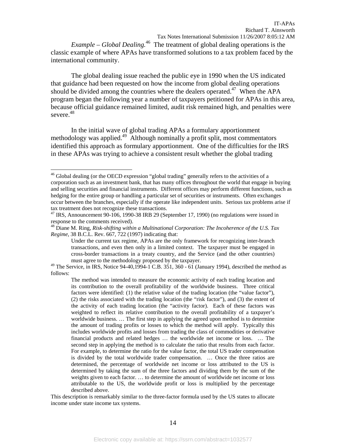*Example – Global Dealing.*46 The treatment of global dealing operations is the classic example of where APAs have transformed solutions to a tax problem faced by the international community.

 The global dealing issue reached the public eye in 1990 when the US indicated that guidance had been requested on how the income from global dealing operations should be divided among the countries where the dealers operated.<sup>47</sup> When the APA program began the following year a number of taxpayers petitioned for APAs in this area, because official guidance remained limited, audit risk remained high, and penalties were severe.<sup>48</sup>

 In the initial wave of global trading APAs a formulary apportionment methodology was applied.<sup>49</sup> Although nominally a profit split, most commentators identified this approach as formulary apportionment. One of the difficulties for the IRS in these APAs was trying to achieve a consistent result whether the global trading

<u>.</u>

<sup>&</sup>lt;sup>46</sup> Global dealing (or the OECD expression "global trading" generally refers to the activities of a corporation such as an investment bank, that has many offices throughout the world that engage in buying and selling securities and financial instruments. Different offices may perform different functions, such as hedging for the entire group or handling a particular set of securities or instruments. Often exchanges occur between the branches, especially if the operate like independent units. Serious tax problems arise if tax treatment does not recognize these transactions.

 $47$  IRS, Announcement 90-106, 1990-38 IRB 29 (September 17, 1990) (no regulations were issued in response to the comments received).

<sup>48</sup> Diane M. Ring, *Risk-shifting within a Multinational Corporation: The Incoherence of the U.S. Tax Regime*, 38 B.C.L. Rev. 667, 722 (1997) indicating that:

Under the current tax regime, APAs are the only framework for recognizing inter-branch transactions, and even then only in a limited context. The taxpayer must be engaged in cross-border transactions in a treaty country, and the Service (and the other countries) must agree to the methodology proposed by the taxpayer.

 $49$  The Service, in IRS, Notice 94-40,1994-1 C.B. 351, 360 - 61 (January 1994), described the method as follows:

The method was intended to measure the economic activity of each trading location and its contribution to the overall profitability of the worldwide business. Three critical factors were identified: (1) the relative value of the trading location (the "value factor"), (2) the risks associated with the trading location (the "risk factor"), and (3) the extent of the activity of each trading location (the "activity factor). Each of these factors was weighted to reflect its relative contribution to the overall profitability of a taxpayer's worldwide business. … The first step in applying the agreed upon method is to determine the amount of trading profits or losses to which the method will apply. Typically this includes worldwide profits and losses from trading the class of commodities or derivative financial products and related hedges … the worldwide net income or loss. … The second step in applying the method is to calculate the ratio that results from each factor. For example, to determine the ratio for the value factor, the total US trader compensation is divided by the total worldwide trader compensation. … Once the three ratios are determined, the percentage of worldwide net income or loss attributed to the US is determined by taking the sum of the three factors and dividing them by the sum of the weights given to each factor. … to determine the amount of worldwide net income or loss attributable to the US, the worldwide profit or loss is multiplied by the percentage described above.

This description is remarkably similar to the three-factor formula used by the US states to allocate income under state income tax systems.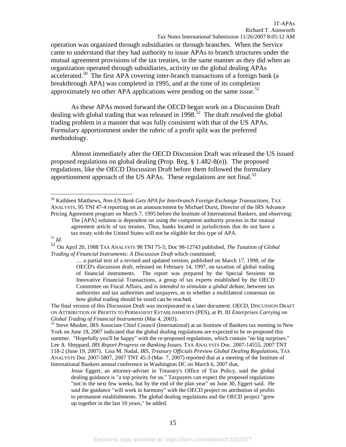operation was organized through subsidiaries or through branches. When the Service came to understand that they had authority to issue APAs to branch structures under the mutual agreement provisions of the tax treaties, in the same manner as they did when an organization operated through subsidiaries, activity on the global dealing APAs accelerated.<sup>50</sup> The first APA covering inter-branch transactions of a foreign bank (a breakthrough APA) was completed in 1995, and at the time of its completion approximately ten other APA applications were pending on the same issue.<sup>51</sup>

 As these APAs moved forward the OECD began work on a Discussion Draft dealing with global trading that was released in 1998.<sup>52</sup> The draft resolved the global trading problem in a manner that was fully consistent with that of the US APAs. Formulary apportionment under the rubric of a profit split was the preferred methodology.

 Almost immediately after the OECD Discussion Draft was released the US issued proposed regulations on global dealing (Prop. Reg. § 1.482-8(e)). The proposed regulations, like the OECD Discussion Draft before them followed the formulary apportionment approach of the US APAs. These regulations are not final. $53$ 

 $\overline{a}$ 

The final version of this Discussion Draft was incorporated in a later document: OECD, DISCUSSION DRAFT ON ATTRIBUTION OF PROFITS TO PERMANENT ESTABLISHMENTS (PES), at Pt. III *Enterprises Carrying on Global Trading of Financial Instruments* (Mar 4, 2003). 53 Steve Musher, IRS Associate Chief Council (International) at an Institute of Bankers tax meeting in New

York on June 18, 2007 indicated that the global dealing regulations are expected to be re-proposed this summer. "Hopefully you'll be happy" with the re-proposed regulations, which contain "no big surprises." Lee A. Sheppard, *IRS Report Progress on Banking Issues*, TAX ANALYSTS Doc. 2007-14555, 2007 TNT 118-2 (June 19, 2007). Lisa M. Nadal, *IRS, Treasury Officials Preview Global Dealing Regulations*, TAX ANALYSTS Doc 2007-5807, 2007 TNT 45-3 (Mar. 7, 2007) reported that at a meeting of the Institute of International Bankers annual conference in Washington DC on March 6, 2007 that,

Jesse Eggert, an attorney-adviser in Treasury's Office of Tax Policy, said the global dealing guidance is "a top priority for us." Taxpayers can expect the proposed regulations "not in the next few weeks, but by the end of the plan year" on June 30, Eggert said. He said the guidance "will work in harmony" with the OECD project on attribution of profits to permanent establishments. The global dealing regulations and the OECD project "grew up together in the last 10 years," he added.

<sup>50</sup> Kathleen Matthews, *Non-US Bank Gets APA for Interbranch Foreign Exchange Transactions,* TAX ANALYSTS, 95 TNI 47-4 reporting on an announcement by Michael Durst, Director of the IRS Advance Pricing Agreement program on March 7, 1995 before the Institute of International Bankers, and observing:

The [APA] solution is dependent on using the competent authority process in the mutual agreement article of tax treaties. Thus, banks located in jurisdictions that do not have a tax treaty with the United States will not be eligible for this type of APA. 51 *Id.* 

<sup>52</sup> On April 20, 1988 TAX ANALYSTS 98 TNI 75-5; Doc 98-12743 published, *The Taxation of Global Trading of Financial Instruments: A Discussion Draft* which constituted;

<sup>…</sup> a partial text of a revised and updated version, published on March 17, 1998, of the OECD's discussion draft, released on February 14, 1997, on taxation of global trading of financial instruments. The report was prepared by the Special Sessions on Innovative Financial Transactions, a group of tax experts established by the OECD Committee on Fiscal Affairs, and is *intended to stimulate a global debate*, between tax authorities and tax authorities and taxpayers, as to whether a multilateral consensus on how global trading should be taxed can be reached.